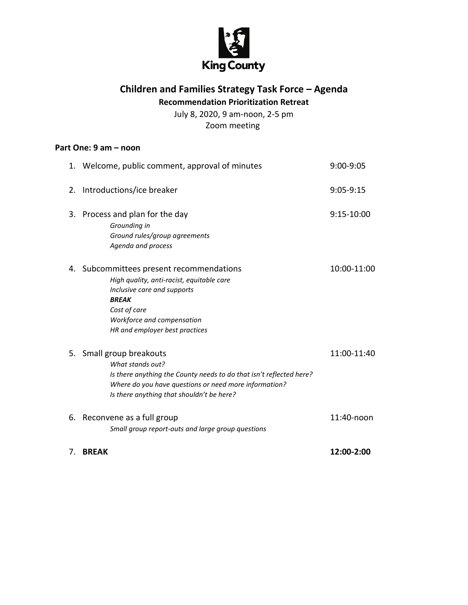

## **Children and Families Strategy Task Force – Agenda Recommendation Prioritization Retreat**

July 8, 2020, 9 am-noon, 2-5 pm Zoom meeting

## **Part One: 9 am – noon**

|    | 1. Welcome, public comment, approval of minutes                                                                                                                                                                           | 9:00-9:05    |
|----|---------------------------------------------------------------------------------------------------------------------------------------------------------------------------------------------------------------------------|--------------|
| 2. | Introductions/ice breaker                                                                                                                                                                                                 | $9:05-9:15$  |
| 3. | Process and plan for the day<br>Grounding in<br>Ground rules/group agreements<br>Agenda and process                                                                                                                       | $9:15-10:00$ |
| 4. | Subcommittees present recommendations<br>High quality, anti-racist, equitable care<br>Inclusive care and supports<br><b>BREAK</b><br>Cost of care<br>Workforce and compensation<br>HR and employer best practices         | 10:00-11:00  |
|    | 5. Small group breakouts<br>What stands out?<br>Is there anything the County needs to do that isn't reflected here?<br>Where do you have questions or need more information?<br>Is there anything that shouldn't be here? | 11:00-11:40  |
| 6. | Reconvene as a full group<br>Small group report-outs and large group questions                                                                                                                                            | 11:40-noon   |
| 7. | <b>BREAK</b>                                                                                                                                                                                                              | 12:00-2:00   |